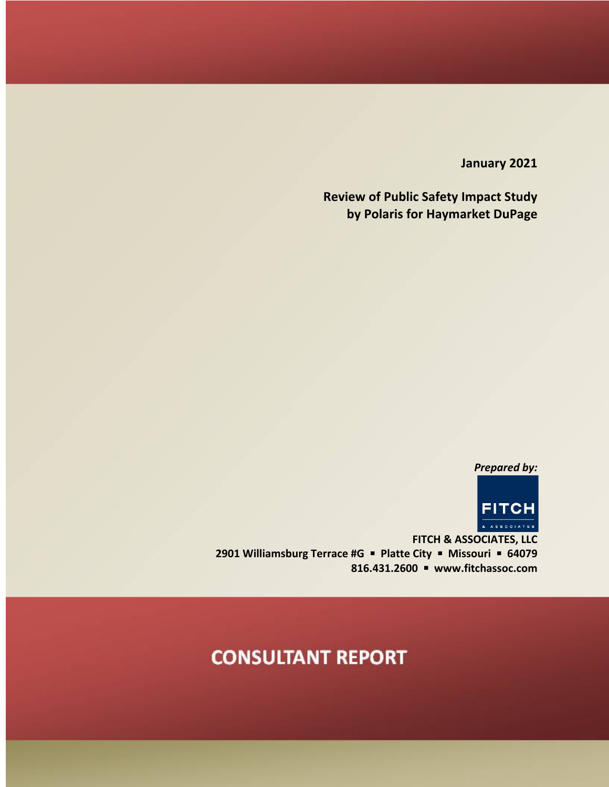**January 2021**

**Review of Public Safety Impact Study by Polaris for Haymarket DuPage**

*Prepared by:*



**FITCH & ASSOCIATES, LLC 2901 Williamsburg Terrace #G ■ Platte City ■ Missouri ■ 64079 816.431.2600** § **www.fitchassoc.com**

# **CONSULTANT REPORT**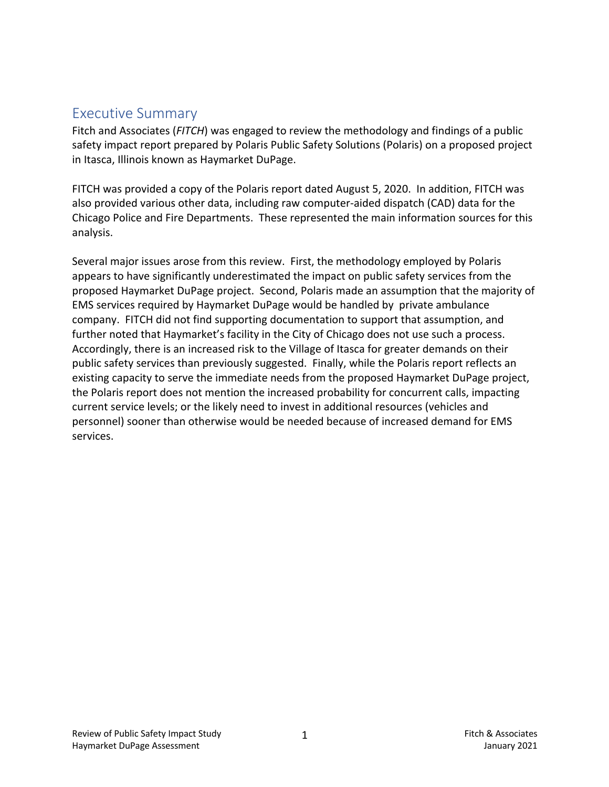#### Executive Summary

Fitch and Associates (*FITCH*) was engaged to review the methodology and findings of a public safety impact report prepared by Polaris Public Safety Solutions (Polaris) on a proposed project in Itasca, Illinois known as Haymarket DuPage.

FITCH was provided a copy of the Polaris report dated August 5, 2020. In addition, FITCH was also provided various other data, including raw computer-aided dispatch (CAD) data for the Chicago Police and Fire Departments. These represented the main information sources for this analysis.

Several major issues arose from this review. First, the methodology employed by Polaris appears to have significantly underestimated the impact on public safety services from the proposed Haymarket DuPage project. Second, Polaris made an assumption that the majority of EMS services required by Haymarket DuPage would be handled by private ambulance company. FITCH did not find supporting documentation to support that assumption, and further noted that Haymarket's facility in the City of Chicago does not use such a process. Accordingly, there is an increased risk to the Village of Itasca for greater demands on their public safety services than previously suggested. Finally, while the Polaris report reflects an existing capacity to serve the immediate needs from the proposed Haymarket DuPage project, the Polaris report does not mention the increased probability for concurrent calls, impacting current service levels; or the likely need to invest in additional resources (vehicles and personnel) sooner than otherwise would be needed because of increased demand for EMS services.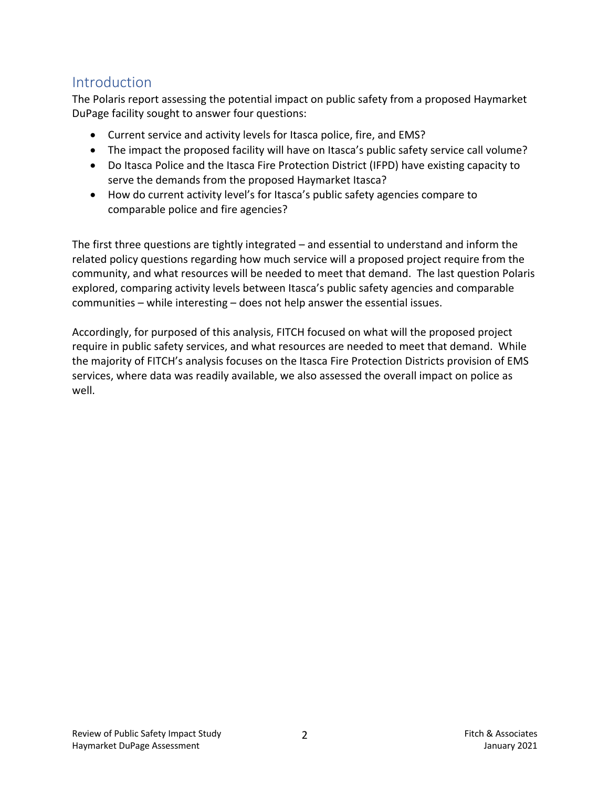#### Introduction

The Polaris report assessing the potential impact on public safety from a proposed Haymarket DuPage facility sought to answer four questions:

- Current service and activity levels for Itasca police, fire, and EMS?
- The impact the proposed facility will have on Itasca's public safety service call volume?
- Do Itasca Police and the Itasca Fire Protection District (IFPD) have existing capacity to serve the demands from the proposed Haymarket Itasca?
- How do current activity level's for Itasca's public safety agencies compare to comparable police and fire agencies?

The first three questions are tightly integrated – and essential to understand and inform the related policy questions regarding how much service will a proposed project require from the community, and what resources will be needed to meet that demand. The last question Polaris explored, comparing activity levels between Itasca's public safety agencies and comparable communities – while interesting – does not help answer the essential issues.

Accordingly, for purposed of this analysis, FITCH focused on what will the proposed project require in public safety services, and what resources are needed to meet that demand. While the majority of FITCH's analysis focuses on the Itasca Fire Protection Districts provision of EMS services, where data was readily available, we also assessed the overall impact on police as well.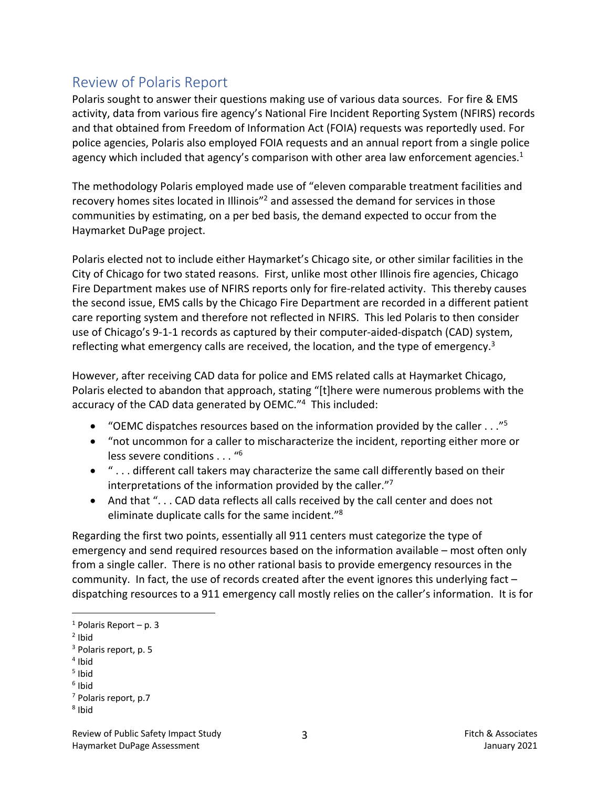### Review of Polaris Report

Polaris sought to answer their questions making use of various data sources. For fire & EMS activity, data from various fire agency's National Fire Incident Reporting System (NFIRS) records and that obtained from Freedom of Information Act (FOIA) requests was reportedly used. For police agencies, Polaris also employed FOIA requests and an annual report from a single police agency which included that agency's comparison with other area law enforcement agencies. $1$ 

The methodology Polaris employed made use of "eleven comparable treatment facilities and recovery homes sites located in Illinois"2 and assessed the demand for services in those communities by estimating, on a per bed basis, the demand expected to occur from the Haymarket DuPage project.

Polaris elected not to include either Haymarket's Chicago site, or other similar facilities in the City of Chicago for two stated reasons. First, unlike most other Illinois fire agencies, Chicago Fire Department makes use of NFIRS reports only for fire-related activity. This thereby causes the second issue, EMS calls by the Chicago Fire Department are recorded in a different patient care reporting system and therefore not reflected in NFIRS. This led Polaris to then consider use of Chicago's 9-1-1 records as captured by their computer-aided-dispatch (CAD) system, reflecting what emergency calls are received, the location, and the type of emergency.<sup>3</sup>

However, after receiving CAD data for police and EMS related calls at Haymarket Chicago, Polaris elected to abandon that approach, stating "[t]here were numerous problems with the accuracy of the CAD data generated by OEMC."4 This included:

- "OEMC dispatches resources based on the information provided by the caller . . ."5
- "not uncommon for a caller to mischaracterize the incident, reporting either more or less severe conditions . . . "6
- " . . . different call takers may characterize the same call differently based on their interpretations of the information provided by the caller."7
- And that "... CAD data reflects all calls received by the call center and does not eliminate duplicate calls for the same incident."8

Regarding the first two points, essentially all 911 centers must categorize the type of emergency and send required resources based on the information available – most often only from a single caller. There is no other rational basis to provide emergency resources in the community. In fact, the use of records created after the event ignores this underlying fact – dispatching resources to a 911 emergency call mostly relies on the caller's information. It is for

 $1$  Polaris Report – p. 3

<sup>2</sup> Ibid

<sup>&</sup>lt;sup>3</sup> Polaris report, p. 5

<sup>4</sup> Ibid

 $5$  Ibid

 $6$  Ibid

<sup>7</sup> Polaris report, p.7

<sup>8</sup> Ibid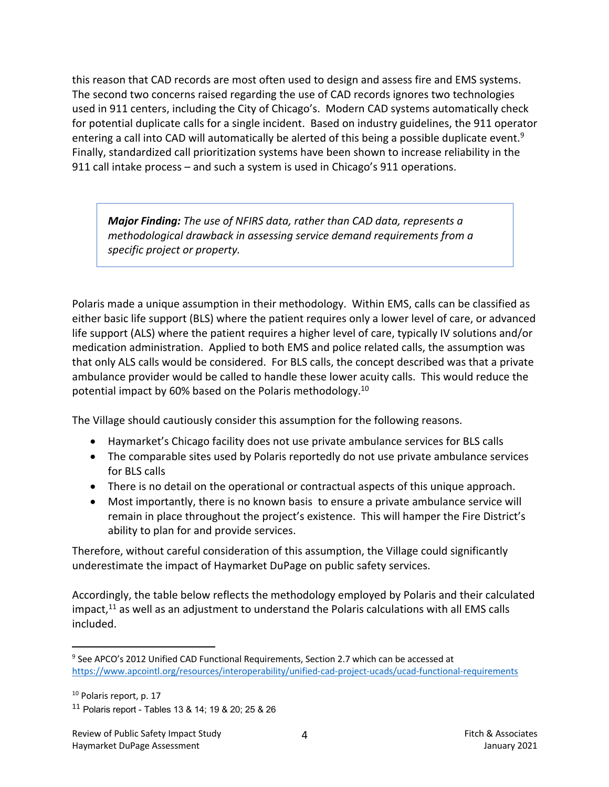this reason that CAD records are most often used to design and assess fire and EMS systems. The second two concerns raised regarding the use of CAD records ignores two technologies used in 911 centers, including the City of Chicago's. Modern CAD systems automatically check for potential duplicate calls for a single incident. Based on industry guidelines, the 911 operator entering a call into CAD will automatically be alerted of this being a possible duplicate event.<sup>9</sup> Finally, standardized call prioritization systems have been shown to increase reliability in the 911 call intake process – and such a system is used in Chicago's 911 operations.

*Major Finding: The use of NFIRS data, rather than CAD data, represents a methodological drawback in assessing service demand requirements from a specific project or property.* 

Polaris made a unique assumption in their methodology. Within EMS, calls can be classified as either basic life support (BLS) where the patient requires only a lower level of care, or advanced life support (ALS) where the patient requires a higher level of care, typically IV solutions and/or medication administration. Applied to both EMS and police related calls, the assumption was that only ALS calls would be considered. For BLS calls, the concept described was that a private ambulance provider would be called to handle these lower acuity calls. This would reduce the potential impact by 60% based on the Polaris methodology.10

The Village should cautiously consider this assumption for the following reasons.

- Haymarket's Chicago facility does not use private ambulance services for BLS calls
- The comparable sites used by Polaris reportedly do not use private ambulance services for BLS calls
- There is no detail on the operational or contractual aspects of this unique approach.
- Most importantly, there is no known basis to ensure a private ambulance service will remain in place throughout the project's existence. This will hamper the Fire District's ability to plan for and provide services.

Therefore, without careful consideration of this assumption, the Village could significantly underestimate the impact of Haymarket DuPage on public safety services.

Accordingly, the table below reflects the methodology employed by Polaris and their calculated impact, $^{11}$  as well as an adjustment to understand the Polaris calculations with all EMS calls included.

<sup>9</sup> See APCO's 2012 Unified CAD Functional Requirements, Section 2.7 which can be accessed at https://www.apcointl.org/resources/interoperability/unified-cad-project-ucads/ucad-functional-requirements

<sup>&</sup>lt;sup>10</sup> Polaris report, p. 17

<sup>&</sup>lt;sup>11</sup> Polaris report - Tables 13 & 14; 19 & 20; 25 & 26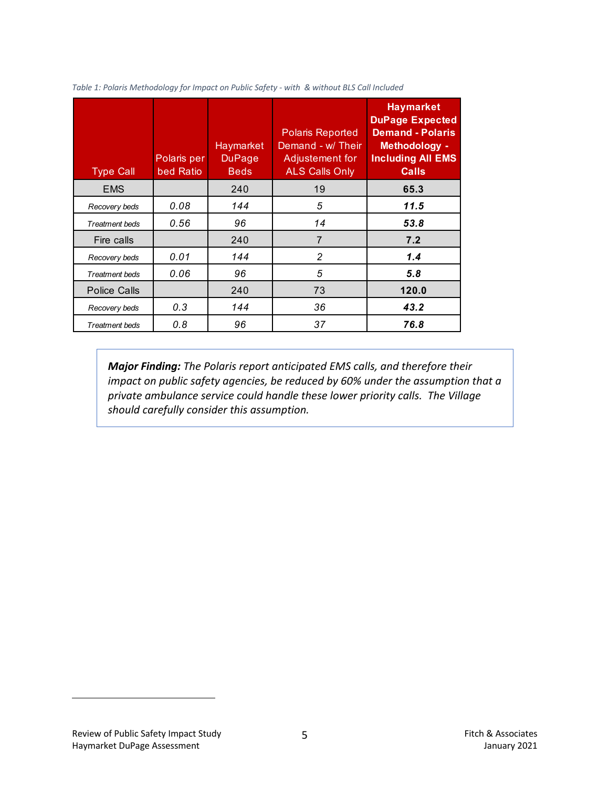| <b>Type Call</b>      | Polaris per<br>bed Ratio | Haymarket<br><b>DuPage</b><br><b>Beds</b> | <b>Polaris Reported</b><br>Demand - w/ Their<br>Adjustement for<br><b>ALS Calls Only</b> | <b>Haymarket</b><br><b>DuPage Expected</b><br><b>Demand - Polaris</b><br><b>Methodology -</b><br><b>Including All EMS</b><br><b>Calls</b> |
|-----------------------|--------------------------|-------------------------------------------|------------------------------------------------------------------------------------------|-------------------------------------------------------------------------------------------------------------------------------------------|
| <b>EMS</b>            |                          | 240                                       | 19                                                                                       | 65.3                                                                                                                                      |
| Recovery beds         | 0.08                     | 144                                       | 5                                                                                        | 11.5                                                                                                                                      |
| <b>Treatment beds</b> | 0.56                     | 96                                        | 14                                                                                       | 53.8                                                                                                                                      |
| Fire calls            |                          | 240                                       | $\overline{7}$                                                                           | 7.2                                                                                                                                       |
| Recovery beds         | 0.01                     | 144                                       | $\mathfrak{p}$                                                                           | 1.4                                                                                                                                       |
| <b>Treatment beds</b> | 0.06                     | 96                                        | 5                                                                                        | 5.8                                                                                                                                       |
| Police Calls          |                          | 240                                       | 73                                                                                       | 120.0                                                                                                                                     |
| Recovery beds         | 0.3                      | 144                                       | 36                                                                                       | 43.2                                                                                                                                      |
| <b>Treatment beds</b> | 0.8                      | 96                                        | 37                                                                                       | 76.8                                                                                                                                      |

*Table 1: Polaris Methodology for Impact on Public Safety - with & without BLS Call Included*

*Major Finding: The Polaris report anticipated EMS calls, and therefore their impact on public safety agencies, be reduced by 60% under the assumption that a private ambulance service could handle these lower priority calls. The Village should carefully consider this assumption.*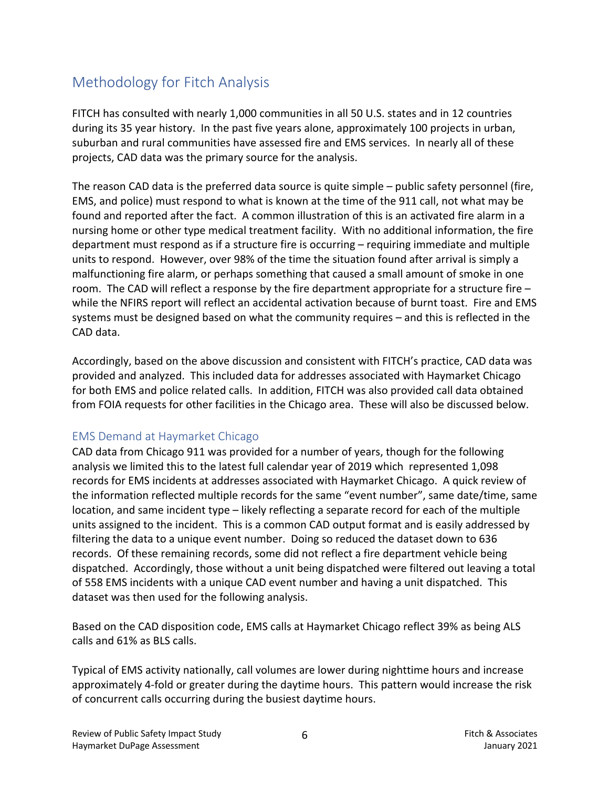## Methodology for Fitch Analysis

FITCH has consulted with nearly 1,000 communities in all 50 U.S. states and in 12 countries during its 35 year history. In the past five years alone, approximately 100 projects in urban, suburban and rural communities have assessed fire and EMS services. In nearly all of these projects, CAD data was the primary source for the analysis.

The reason CAD data is the preferred data source is quite simple – public safety personnel (fire, EMS, and police) must respond to what is known at the time of the 911 call, not what may be found and reported after the fact. A common illustration of this is an activated fire alarm in a nursing home or other type medical treatment facility. With no additional information, the fire department must respond as if a structure fire is occurring – requiring immediate and multiple units to respond. However, over 98% of the time the situation found after arrival is simply a malfunctioning fire alarm, or perhaps something that caused a small amount of smoke in one room. The CAD will reflect a response by the fire department appropriate for a structure fire – while the NFIRS report will reflect an accidental activation because of burnt toast. Fire and EMS systems must be designed based on what the community requires – and this is reflected in the CAD data.

Accordingly, based on the above discussion and consistent with FITCH's practice, CAD data was provided and analyzed. This included data for addresses associated with Haymarket Chicago for both EMS and police related calls. In addition, FITCH was also provided call data obtained from FOIA requests for other facilities in the Chicago area. These will also be discussed below.

#### EMS Demand at Haymarket Chicago

CAD data from Chicago 911 was provided for a number of years, though for the following analysis we limited this to the latest full calendar year of 2019 which represented 1,098 records for EMS incidents at addresses associated with Haymarket Chicago. A quick review of the information reflected multiple records for the same "event number", same date/time, same location, and same incident type – likely reflecting a separate record for each of the multiple units assigned to the incident. This is a common CAD output format and is easily addressed by filtering the data to a unique event number. Doing so reduced the dataset down to 636 records. Of these remaining records, some did not reflect a fire department vehicle being dispatched. Accordingly, those without a unit being dispatched were filtered out leaving a total of 558 EMS incidents with a unique CAD event number and having a unit dispatched. This dataset was then used for the following analysis.

Based on the CAD disposition code, EMS calls at Haymarket Chicago reflect 39% as being ALS calls and 61% as BLS calls.

Typical of EMS activity nationally, call volumes are lower during nighttime hours and increase approximately 4-fold or greater during the daytime hours. This pattern would increase the risk of concurrent calls occurring during the busiest daytime hours.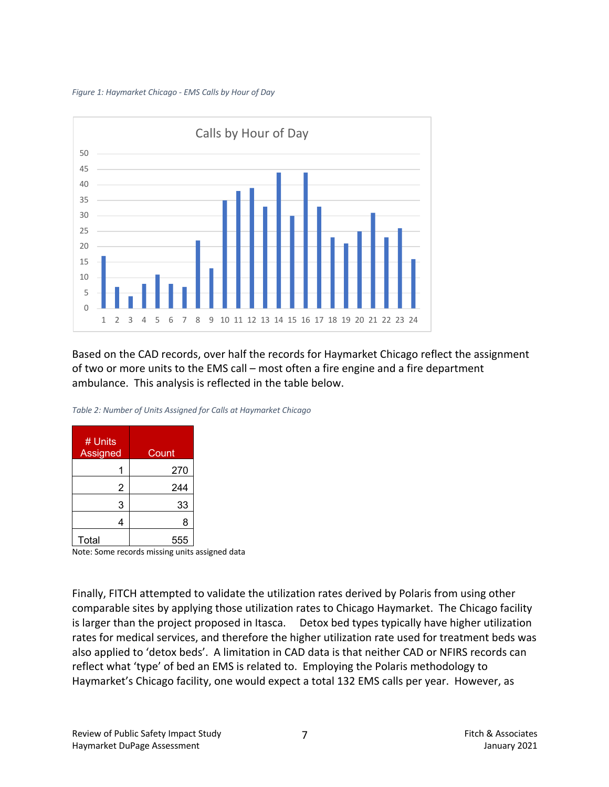#### *Figure 1: Haymarket Chicago - EMS Calls by Hour of Day*



Based on the CAD records, over half the records for Haymarket Chicago reflect the assignment of two or more units to the EMS call – most often a fire engine and a fire department ambulance. This analysis is reflected in the table below.

| # Units<br>Assigned | Count |
|---------------------|-------|
|                     | 270   |
| $\overline{2}$      | 244   |
| 3                   | 33    |
|                     | 8     |
| Total               | 555   |

*Table 2: Number of Units Assigned for Calls at Haymarket Chicago*

Note: Some records missing units assigned data

Finally, FITCH attempted to validate the utilization rates derived by Polaris from using other comparable sites by applying those utilization rates to Chicago Haymarket. The Chicago facility is larger than the project proposed in Itasca. Detox bed types typically have higher utilization rates for medical services, and therefore the higher utilization rate used for treatment beds was also applied to 'detox beds'. A limitation in CAD data is that neither CAD or NFIRS records can reflect what 'type' of bed an EMS is related to. Employing the Polaris methodology to Haymarket's Chicago facility, one would expect a total 132 EMS calls per year. However, as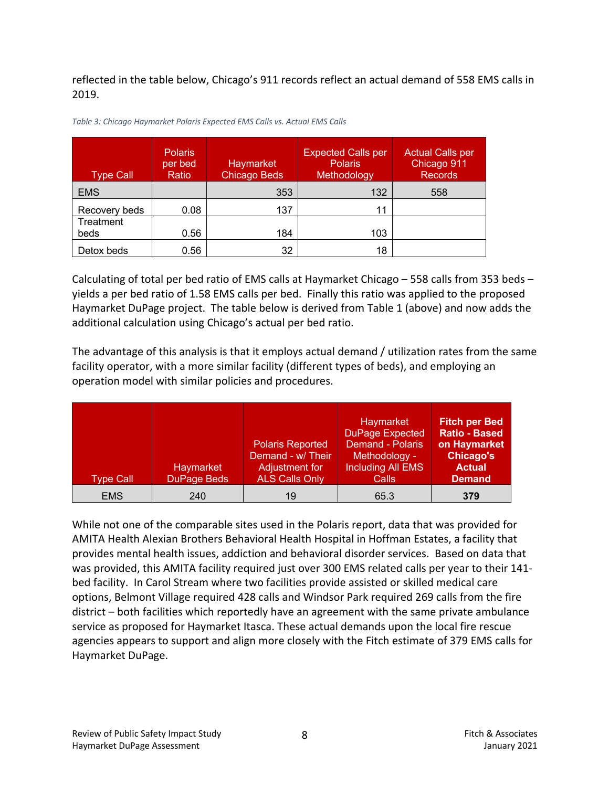reflected in the table below, Chicago's 911 records reflect an actual demand of 558 EMS calls in 2019.

| <b>Type Call</b> | <b>Polaris</b><br>per bed<br>Ratio | Haymarket<br><b>Chicago Beds</b> | <b>Expected Calls per</b><br><b>Polaris</b><br>Methodology | <b>Actual Calls per</b><br>Chicago 911<br><b>Records</b> |
|------------------|------------------------------------|----------------------------------|------------------------------------------------------------|----------------------------------------------------------|
| <b>EMS</b>       |                                    | 353                              | 132                                                        | 558                                                      |
| Recovery beds    | 0.08                               | 137                              | 11                                                         |                                                          |
| Treatment        |                                    |                                  |                                                            |                                                          |
| beds             | 0.56                               | 184                              | 103                                                        |                                                          |
| Detox beds       | 0.56                               | 32                               | 18                                                         |                                                          |

*Table 3: Chicago Haymarket Polaris Expected EMS Calls vs. Actual EMS Calls*

Calculating of total per bed ratio of EMS calls at Haymarket Chicago – 558 calls from 353 beds – yields a per bed ratio of 1.58 EMS calls per bed. Finally this ratio was applied to the proposed Haymarket DuPage project. The table below is derived from Table 1 (above) and now adds the additional calculation using Chicago's actual per bed ratio.

The advantage of this analysis is that it employs actual demand / utilization rates from the same facility operator, with a more similar facility (different types of beds), and employing an operation model with similar policies and procedures.

| <b>Type Call</b> | Haymarket<br>DuPage Beds | <b>Polaris Reported</b><br>Demand - w/ Their<br>Adjustment for<br><b>ALS Calls Only</b> | Haymarket<br><b>DuPage Expected</b><br>Demand - Polaris<br>Methodology -<br><b>Including All EMS</b><br>Calls | <b>Fitch per Bed</b><br><b>Ratio - Based</b><br>on Haymarket<br><b>Chicago's</b><br><b>Actual</b><br><b>Demand</b> |
|------------------|--------------------------|-----------------------------------------------------------------------------------------|---------------------------------------------------------------------------------------------------------------|--------------------------------------------------------------------------------------------------------------------|
| <b>EMS</b>       | 240                      | 19                                                                                      | 65.3                                                                                                          | 379                                                                                                                |

While not one of the comparable sites used in the Polaris report, data that was provided for AMITA Health Alexian Brothers Behavioral Health Hospital in Hoffman Estates, a facility that provides mental health issues, addiction and behavioral disorder services. Based on data that was provided, this AMITA facility required just over 300 EMS related calls per year to their 141 bed facility. In Carol Stream where two facilities provide assisted or skilled medical care options, Belmont Village required 428 calls and Windsor Park required 269 calls from the fire district – both facilities which reportedly have an agreement with the same private ambulance service as proposed for Haymarket Itasca. These actual demands upon the local fire rescue agencies appears to support and align more closely with the Fitch estimate of 379 EMS calls for Haymarket DuPage.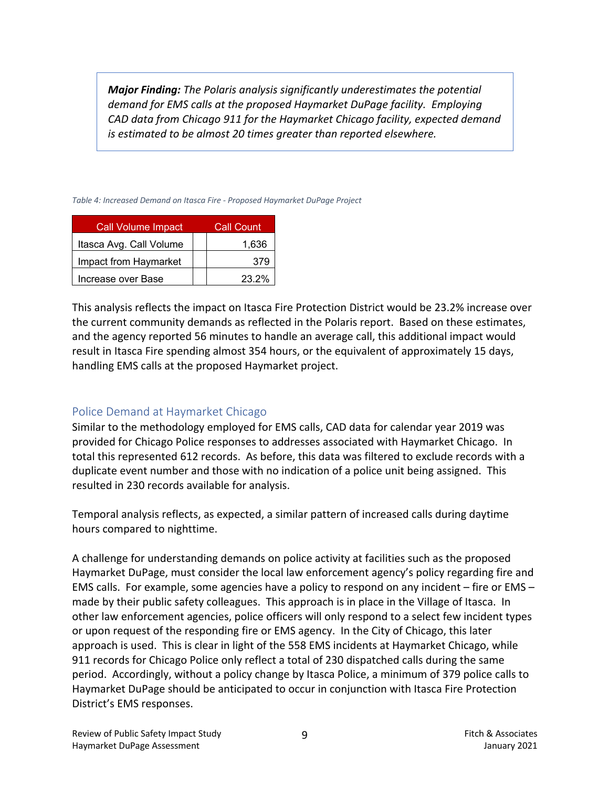*Major Finding: The Polaris analysis significantly underestimates the potential demand for EMS calls at the proposed Haymarket DuPage facility. Employing CAD data from Chicago 911 for the Haymarket Chicago facility, expected demand is estimated to be almost 20 times greater than reported elsewhere.* 

*Table 4: Increased Demand on Itasca Fire - Proposed Haymarket DuPage Project*

| <b>Call Volume Impact</b> | Call Count |
|---------------------------|------------|
| Itasca Avg. Call Volume   | 1,636      |
| Impact from Haymarket     | 379        |
| Increase over Base        | 23.2%      |

This analysis reflects the impact on Itasca Fire Protection District would be 23.2% increase over the current community demands as reflected in the Polaris report. Based on these estimates, and the agency reported 56 minutes to handle an average call, this additional impact would result in Itasca Fire spending almost 354 hours, or the equivalent of approximately 15 days, handling EMS calls at the proposed Haymarket project.

#### Police Demand at Haymarket Chicago

Similar to the methodology employed for EMS calls, CAD data for calendar year 2019 was provided for Chicago Police responses to addresses associated with Haymarket Chicago. In total this represented 612 records. As before, this data was filtered to exclude records with a duplicate event number and those with no indication of a police unit being assigned. This resulted in 230 records available for analysis.

Temporal analysis reflects, as expected, a similar pattern of increased calls during daytime hours compared to nighttime.

A challenge for understanding demands on police activity at facilities such as the proposed Haymarket DuPage, must consider the local law enforcement agency's policy regarding fire and EMS calls. For example, some agencies have a policy to respond on any incident – fire or EMS – made by their public safety colleagues. This approach is in place in the Village of Itasca. In other law enforcement agencies, police officers will only respond to a select few incident types or upon request of the responding fire or EMS agency. In the City of Chicago, this later approach is used. This is clear in light of the 558 EMS incidents at Haymarket Chicago, while 911 records for Chicago Police only reflect a total of 230 dispatched calls during the same period. Accordingly, without a policy change by Itasca Police, a minimum of 379 police calls to Haymarket DuPage should be anticipated to occur in conjunction with Itasca Fire Protection District's EMS responses.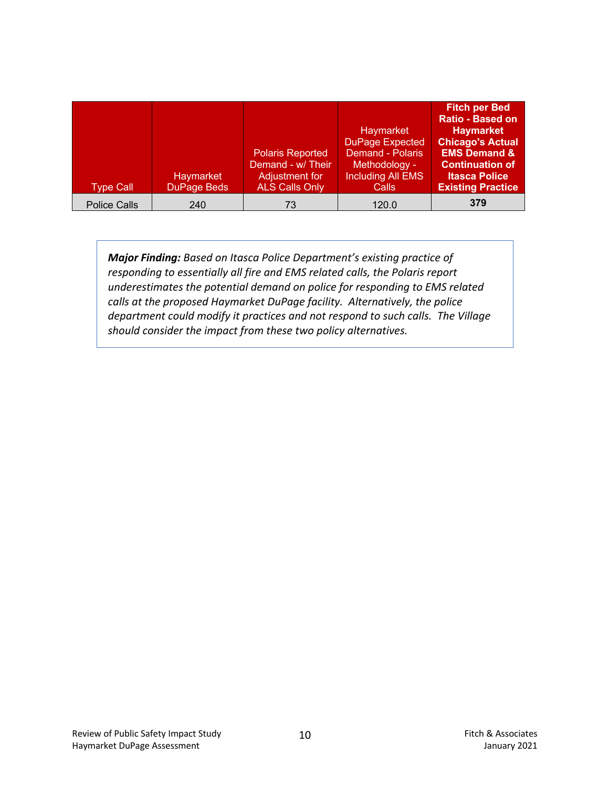|                     |                    |                         |                          | <b>Fitch per Bed</b>     |
|---------------------|--------------------|-------------------------|--------------------------|--------------------------|
|                     |                    |                         |                          | <b>Ratio - Based on</b>  |
|                     |                    |                         | Haymarket                | <b>Haymarket</b>         |
|                     |                    |                         | <b>DuPage Expected</b>   | <b>Chicago's Actual</b>  |
|                     |                    | <b>Polaris Reported</b> | <b>Demand - Polaris</b>  | <b>EMS Demand &amp;</b>  |
|                     |                    | Demand - w/ Their       | Methodology -            | <b>Continuation of</b>   |
|                     | Haymarket          | Adjustment for          | <b>Including All EMS</b> | <b>Itasca Police</b>     |
| <b>Type Call</b>    | <b>DuPage Beds</b> | <b>ALS Calls Only</b>   | Calls                    | <b>Existing Practice</b> |
| <b>Police Calls</b> | 240                | 73                      | 120.0                    | 379                      |

*Major Finding: Based on Itasca Police Department's existing practice of responding to essentially all fire and EMS related calls, the Polaris report underestimates the potential demand on police for responding to EMS related calls at the proposed Haymarket DuPage facility. Alternatively, the police department could modify it practices and not respond to such calls. The Village should consider the impact from these two policy alternatives.*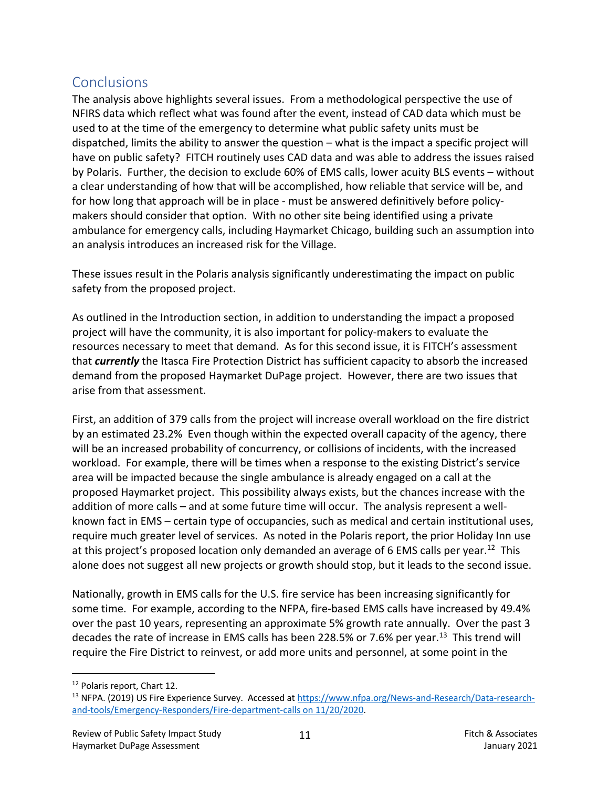## **Conclusions**

The analysis above highlights several issues. From a methodological perspective the use of NFIRS data which reflect what was found after the event, instead of CAD data which must be used to at the time of the emergency to determine what public safety units must be dispatched, limits the ability to answer the question – what is the impact a specific project will have on public safety? FITCH routinely uses CAD data and was able to address the issues raised by Polaris. Further, the decision to exclude 60% of EMS calls, lower acuity BLS events – without a clear understanding of how that will be accomplished, how reliable that service will be, and for how long that approach will be in place - must be answered definitively before policymakers should consider that option. With no other site being identified using a private ambulance for emergency calls, including Haymarket Chicago, building such an assumption into an analysis introduces an increased risk for the Village.

These issues result in the Polaris analysis significantly underestimating the impact on public safety from the proposed project.

As outlined in the Introduction section, in addition to understanding the impact a proposed project will have the community, it is also important for policy-makers to evaluate the resources necessary to meet that demand. As for this second issue, it is FITCH's assessment that *currently* the Itasca Fire Protection District has sufficient capacity to absorb the increased demand from the proposed Haymarket DuPage project. However, there are two issues that arise from that assessment.

First, an addition of 379 calls from the project will increase overall workload on the fire district by an estimated 23.2% Even though within the expected overall capacity of the agency, there will be an increased probability of concurrency, or collisions of incidents, with the increased workload. For example, there will be times when a response to the existing District's service area will be impacted because the single ambulance is already engaged on a call at the proposed Haymarket project. This possibility always exists, but the chances increase with the addition of more calls – and at some future time will occur. The analysis represent a wellknown fact in EMS – certain type of occupancies, such as medical and certain institutional uses, require much greater level of services. As noted in the Polaris report, the prior Holiday Inn use at this project's proposed location only demanded an average of 6 EMS calls per year.<sup>12</sup> This alone does not suggest all new projects or growth should stop, but it leads to the second issue.

Nationally, growth in EMS calls for the U.S. fire service has been increasing significantly for some time. For example, according to the NFPA, fire-based EMS calls have increased by 49.4% over the past 10 years, representing an approximate 5% growth rate annually. Over the past 3 decades the rate of increase in EMS calls has been 228.5% or 7.6% per year.<sup>13</sup> This trend will require the Fire District to reinvest, or add more units and personnel, at some point in the

<sup>12</sup> Polaris report, Chart 12.

<sup>&</sup>lt;sup>13</sup> NFPA. (2019) US Fire Experience Survey. Accessed at https://www.nfpa.org/News-and-Research/Data-researchand-tools/Emergency-Responders/Fire-department-calls on 11/20/2020.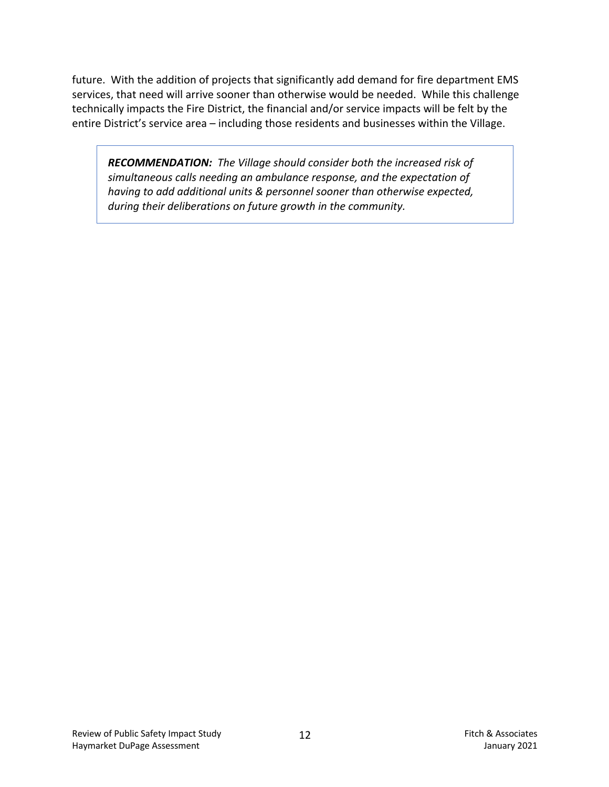future. With the addition of projects that significantly add demand for fire department EMS services, that need will arrive sooner than otherwise would be needed. While this challenge technically impacts the Fire District, the financial and/or service impacts will be felt by the entire District's service area – including those residents and businesses within the Village.

*RECOMMENDATION: The Village should consider both the increased risk of simultaneous calls needing an ambulance response, and the expectation of having to add additional units & personnel sooner than otherwise expected, during their deliberations on future growth in the community.*